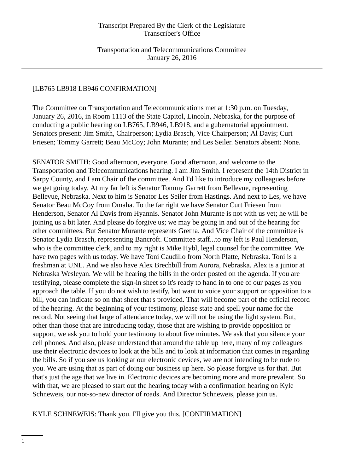Transportation and Telecommunications Committee January 26, 2016

# [LB765 LB918 LB946 CONFIRMATION]

The Committee on Transportation and Telecommunications met at 1:30 p.m. on Tuesday, January 26, 2016, in Room 1113 of the State Capitol, Lincoln, Nebraska, for the purpose of conducting a public hearing on LB765, LB946, LB918, and a gubernatorial appointment. Senators present: Jim Smith, Chairperson; Lydia Brasch, Vice Chairperson; Al Davis; Curt Friesen; Tommy Garrett; Beau McCoy; John Murante; and Les Seiler. Senators absent: None.

SENATOR SMITH: Good afternoon, everyone. Good afternoon, and welcome to the Transportation and Telecommunications hearing. I am Jim Smith. I represent the 14th District in Sarpy County, and I am Chair of the committee. And I'd like to introduce my colleagues before we get going today. At my far left is Senator Tommy Garrett from Bellevue, representing Bellevue, Nebraska. Next to him is Senator Les Seiler from Hastings. And next to Les, we have Senator Beau McCoy from Omaha. To the far right we have Senator Curt Friesen from Henderson, Senator Al Davis from Hyannis. Senator John Murante is not with us yet; he will be joining us a bit later. And please do forgive us; we may be going in and out of the hearing for other committees. But Senator Murante represents Gretna. And Vice Chair of the committee is Senator Lydia Brasch, representing Bancroft. Committee staff...to my left is Paul Henderson, who is the committee clerk, and to my right is Mike Hybl, legal counsel for the committee. We have two pages with us today. We have Toni Caudillo from North Platte, Nebraska. Toni is a freshman at UNL. And we also have Alex Brechbill from Aurora, Nebraska. Alex is a junior at Nebraska Wesleyan. We will be hearing the bills in the order posted on the agenda. If you are testifying, please complete the sign-in sheet so it's ready to hand in to one of our pages as you approach the table. If you do not wish to testify, but want to voice your support or opposition to a bill, you can indicate so on that sheet that's provided. That will become part of the official record of the hearing. At the beginning of your testimony, please state and spell your name for the record. Not seeing that large of attendance today, we will not be using the light system. But, other than those that are introducing today, those that are wishing to provide opposition or support, we ask you to hold your testimony to about five minutes. We ask that you silence your cell phones. And also, please understand that around the table up here, many of my colleagues use their electronic devices to look at the bills and to look at information that comes in regarding the bills. So if you see us looking at our electronic devices, we are not intending to be rude to you. We are using that as part of doing our business up here. So please forgive us for that. But that's just the age that we live in. Electronic devices are becoming more and more prevalent. So with that, we are pleased to start out the hearing today with a confirmation hearing on Kyle Schneweis, our not-so-new director of roads. And Director Schneweis, please join us.

#### KYLE SCHNEWEIS: Thank you. I'll give you this. [CONFIRMATION]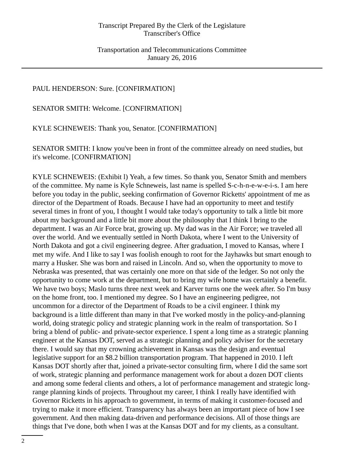# PAUL HENDERSON: Sure. [CONFIRMATION]

SENATOR SMITH: Welcome. [CONFIRMATION]

KYLE SCHNEWEIS: Thank you, Senator. [CONFIRMATION]

SENATOR SMITH: I know you've been in front of the committee already on need studies, but it's welcome. [CONFIRMATION]

KYLE SCHNEWEIS: (Exhibit l) Yeah, a few times. So thank you, Senator Smith and members of the committee. My name is Kyle Schneweis, last name is spelled S-c-h-n-e-w-e-i-s. I am here before you today in the public, seeking confirmation of Governor Ricketts' appointment of me as director of the Department of Roads. Because I have had an opportunity to meet and testify several times in front of you, I thought I would take today's opportunity to talk a little bit more about my background and a little bit more about the philosophy that I think I bring to the department. I was an Air Force brat, growing up. My dad was in the Air Force; we traveled all over the world. And we eventually settled in North Dakota, where I went to the University of North Dakota and got a civil engineering degree. After graduation, I moved to Kansas, where I met my wife. And I like to say I was foolish enough to root for the Jayhawks but smart enough to marry a Husker. She was born and raised in Lincoln. And so, when the opportunity to move to Nebraska was presented, that was certainly one more on that side of the ledger. So not only the opportunity to come work at the department, but to bring my wife home was certainly a benefit. We have two boys; Maslo turns three next week and Karver turns one the week after. So I'm busy on the home front, too. I mentioned my degree. So I have an engineering pedigree, not uncommon for a director of the Department of Roads to be a civil engineer. I think my background is a little different than many in that I've worked mostly in the policy-and-planning world, doing strategic policy and strategic planning work in the realm of transportation. So I bring a blend of public- and private-sector experience. I spent a long time as a strategic planning engineer at the Kansas DOT, served as a strategic planning and policy adviser for the secretary there. I would say that my crowning achievement in Kansas was the design and eventual legislative support for an \$8.2 billion transportation program. That happened in 2010. I left Kansas DOT shortly after that, joined a private-sector consulting firm, where I did the same sort of work, strategic planning and performance management work for about a dozen DOT clients and among some federal clients and others, a lot of performance management and strategic longrange planning kinds of projects. Throughout my career, I think I really have identified with Governor Ricketts in his approach to government, in terms of making it customer-focused and trying to make it more efficient. Transparency has always been an important piece of how I see government. And then making data-driven and performance decisions. All of those things are things that I've done, both when I was at the Kansas DOT and for my clients, as a consultant.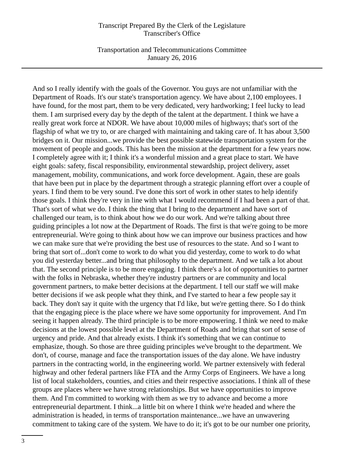Transportation and Telecommunications Committee January 26, 2016

And so I really identify with the goals of the Governor. You guys are not unfamiliar with the Department of Roads. It's our state's transportation agency. We have about 2,100 employees. I have found, for the most part, them to be very dedicated, very hardworking; I feel lucky to lead them. I am surprised every day by the depth of the talent at the department. I think we have a really great work force at NDOR. We have about 10,000 miles of highways; that's sort of the flagship of what we try to, or are charged with maintaining and taking care of. It has about 3,500 bridges on it. Our mission...we provide the best possible statewide transportation system for the movement of people and goods. This has been the mission at the department for a few years now. I completely agree with it; I think it's a wonderful mission and a great place to start. We have eight goals: safety, fiscal responsibility, environmental stewardship, project delivery, asset management, mobility, communications, and work force development. Again, these are goals that have been put in place by the department through a strategic planning effort over a couple of years. I find them to be very sound. I've done this sort of work in other states to help identify those goals. I think they're very in line with what I would recommend if I had been a part of that. That's sort of what we do. I think the thing that I bring to the department and have sort of challenged our team, is to think about how we do our work. And we're talking about three guiding principles a lot now at the Department of Roads. The first is that we're going to be more entrepreneurial. We're going to think about how we can improve our business practices and how we can make sure that we're providing the best use of resources to the state. And so I want to bring that sort of...don't come to work to do what you did yesterday, come to work to do what you did yesterday better...and bring that philosophy to the department. And we talk a lot about that. The second principle is to be more engaging. I think there's a lot of opportunities to partner with the folks in Nebraska, whether they're industry partners or are community and local government partners, to make better decisions at the department. I tell our staff we will make better decisions if we ask people what they think, and I've started to hear a few people say it back. They don't say it quite with the urgency that I'd like, but we're getting there. So I do think that the engaging piece is the place where we have some opportunity for improvement. And I'm seeing it happen already. The third principle is to be more empowering. I think we need to make decisions at the lowest possible level at the Department of Roads and bring that sort of sense of urgency and pride. And that already exists. I think it's something that we can continue to emphasize, though. So those are three guiding principles we've brought to the department. We don't, of course, manage and face the transportation issues of the day alone. We have industry partners in the contracting world, in the engineering world. We partner extensively with federal highway and other federal partners like FTA and the Army Corps of Engineers. We have a long list of local stakeholders, counties, and cities and their respective associations. I think all of these groups are places where we have strong relationships. But we have opportunities to improve them. And I'm committed to working with them as we try to advance and become a more entrepreneurial department. I think...a little bit on where I think we're headed and where the administration is headed, in terms of transportation maintenance...we have an unwavering commitment to taking care of the system. We have to do it; it's got to be our number one priority,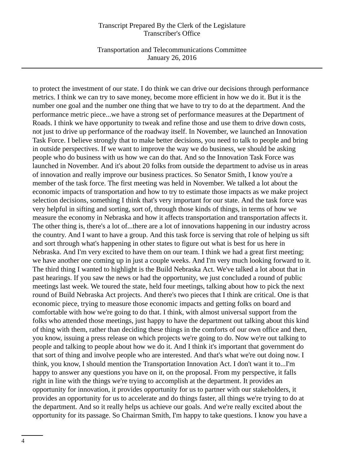Transportation and Telecommunications Committee January 26, 2016

to protect the investment of our state. I do think we can drive our decisions through performance metrics. I think we can try to save money, become more efficient in how we do it. But it is the number one goal and the number one thing that we have to try to do at the department. And the performance metric piece...we have a strong set of performance measures at the Department of Roads. I think we have opportunity to tweak and refine those and use them to drive down costs, not just to drive up performance of the roadway itself. In November, we launched an Innovation Task Force. I believe strongly that to make better decisions, you need to talk to people and bring in outside perspectives. If we want to improve the way we do business, we should be asking people who do business with us how we can do that. And so the Innovation Task Force was launched in November. And it's about 20 folks from outside the department to advise us in areas of innovation and really improve our business practices. So Senator Smith, I know you're a member of the task force. The first meeting was held in November. We talked a lot about the economic impacts of transportation and how to try to estimate those impacts as we make project selection decisions, something I think that's very important for our state. And the task force was very helpful in sifting and sorting, sort of, through those kinds of things, in terms of how we measure the economy in Nebraska and how it affects transportation and transportation affects it. The other thing is, there's a lot of...there are a lot of innovations happening in our industry across the country. And I want to have a group. And this task force is serving that role of helping us sift and sort through what's happening in other states to figure out what is best for us here in Nebraska. And I'm very excited to have them on our team. I think we had a great first meeting; we have another one coming up in just a couple weeks. And I'm very much looking forward to it. The third thing I wanted to highlight is the Build Nebraska Act. We've talked a lot about that in past hearings. If you saw the news or had the opportunity, we just concluded a round of public meetings last week. We toured the state, held four meetings, talking about how to pick the next round of Build Nebraska Act projects. And there's two pieces that I think are critical. One is that economic piece, trying to measure those economic impacts and getting folks on board and comfortable with how we're going to do that. I think, with almost universal support from the folks who attended those meetings, just happy to have the department out talking about this kind of thing with them, rather than deciding these things in the comforts of our own office and then, you know, issuing a press release on which projects we're going to do. Now we're out talking to people and talking to people about how we do it. And I think it's important that government do that sort of thing and involve people who are interested. And that's what we're out doing now. I think, you know, I should mention the Transportation Innovation Act. I don't want it to...I'm happy to answer any questions you have on it, on the proposal. From my perspective, it falls right in line with the things we're trying to accomplish at the department. It provides an opportunity for innovation, it provides opportunity for us to partner with our stakeholders, it provides an opportunity for us to accelerate and do things faster, all things we're trying to do at the department. And so it really helps us achieve our goals. And we're really excited about the opportunity for its passage. So Chairman Smith, I'm happy to take questions. I know you have a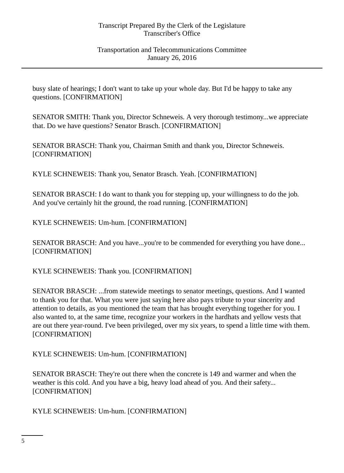busy slate of hearings; I don't want to take up your whole day. But I'd be happy to take any questions. [CONFIRMATION]

SENATOR SMITH: Thank you, Director Schneweis. A very thorough testimony...we appreciate that. Do we have questions? Senator Brasch. [CONFIRMATION]

SENATOR BRASCH: Thank you, Chairman Smith and thank you, Director Schneweis. [CONFIRMATION]

KYLE SCHNEWEIS: Thank you, Senator Brasch. Yeah. [CONFIRMATION]

SENATOR BRASCH: I do want to thank you for stepping up, your willingness to do the job. And you've certainly hit the ground, the road running. [CONFIRMATION]

KYLE SCHNEWEIS: Um-hum. [CONFIRMATION]

SENATOR BRASCH: And you have...you're to be commended for everything you have done... [CONFIRMATION]

KYLE SCHNEWEIS: Thank you. [CONFIRMATION]

SENATOR BRASCH: ...from statewide meetings to senator meetings, questions. And I wanted to thank you for that. What you were just saying here also pays tribute to your sincerity and attention to details, as you mentioned the team that has brought everything together for you. I also wanted to, at the same time, recognize your workers in the hardhats and yellow vests that are out there year-round. I've been privileged, over my six years, to spend a little time with them. [CONFIRMATION]

KYLE SCHNEWEIS: Um-hum. [CONFIRMATION]

SENATOR BRASCH: They're out there when the concrete is 149 and warmer and when the weather is this cold. And you have a big, heavy load ahead of you. And their safety... [CONFIRMATION]

KYLE SCHNEWEIS: Um-hum. [CONFIRMATION]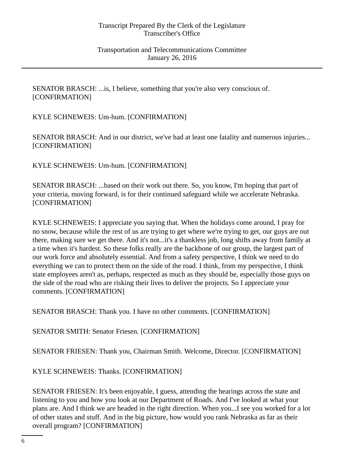SENATOR BRASCH: ...is, I believe, something that you're also very conscious of. [CONFIRMATION]

KYLE SCHNEWEIS: Um-hum. [CONFIRMATION]

SENATOR BRASCH: And in our district, we've had at least one fatality and numerous injuries... [CONFIRMATION]

KYLE SCHNEWEIS: Um-hum. [CONFIRMATION]

SENATOR BRASCH: ...based on their work out there. So, you know, I'm hoping that part of your criteria, moving forward, is for their continued safeguard while we accelerate Nebraska. [CONFIRMATION]

KYLE SCHNEWEIS: I appreciate you saying that. When the holidays come around, I pray for no snow, because while the rest of us are trying to get where we're trying to get, our guys are out there, making sure we get there. And it's not...it's a thankless job, long shifts away from family at a time when it's hardest. So these folks really are the backbone of our group, the largest part of our work force and absolutely essential. And from a safety perspective, I think we need to do everything we can to protect them on the side of the road. I think, from my perspective, I think state employees aren't as, perhaps, respected as much as they should be, especially those guys on the side of the road who are risking their lives to deliver the projects. So I appreciate your comments. [CONFIRMATION]

SENATOR BRASCH: Thank you. I have no other comments. [CONFIRMATION]

SENATOR SMITH: Senator Friesen. [CONFIRMATION]

SENATOR FRIESEN: Thank you, Chairman Smith. Welcome, Director. [CONFIRMATION]

KYLE SCHNEWEIS: Thanks. [CONFIRMATION]

SENATOR FRIESEN: It's been enjoyable, I guess, attending the hearings across the state and listening to you and how you look at our Department of Roads. And I've looked at what your plans are. And I think we are headed in the right direction. When you...I see you worked for a lot of other states and stuff. And in the big picture, how would you rank Nebraska as far as their overall program? [CONFIRMATION]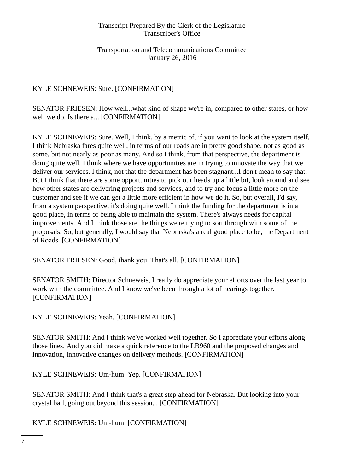# KYLE SCHNEWEIS: Sure. [CONFIRMATION]

SENATOR FRIESEN: How well...what kind of shape we're in, compared to other states, or how well we do. Is there a... [CONFIRMATION]

KYLE SCHNEWEIS: Sure. Well, I think, by a metric of, if you want to look at the system itself, I think Nebraska fares quite well, in terms of our roads are in pretty good shape, not as good as some, but not nearly as poor as many. And so I think, from that perspective, the department is doing quite well. I think where we have opportunities are in trying to innovate the way that we deliver our services. I think, not that the department has been stagnant...I don't mean to say that. But I think that there are some opportunities to pick our heads up a little bit, look around and see how other states are delivering projects and services, and to try and focus a little more on the customer and see if we can get a little more efficient in how we do it. So, but overall, I'd say, from a system perspective, it's doing quite well. I think the funding for the department is in a good place, in terms of being able to maintain the system. There's always needs for capital improvements. And I think those are the things we're trying to sort through with some of the proposals. So, but generally, I would say that Nebraska's a real good place to be, the Department of Roads. [CONFIRMATION]

SENATOR FRIESEN: Good, thank you. That's all. [CONFIRMATION]

SENATOR SMITH: Director Schneweis, I really do appreciate your efforts over the last year to work with the committee. And I know we've been through a lot of hearings together. [CONFIRMATION]

KYLE SCHNEWEIS: Yeah. [CONFIRMATION]

SENATOR SMITH: And I think we've worked well together. So I appreciate your efforts along those lines. And you did make a quick reference to the LB960 and the proposed changes and innovation, innovative changes on delivery methods. [CONFIRMATION]

KYLE SCHNEWEIS: Um-hum. Yep. [CONFIRMATION]

SENATOR SMITH: And I think that's a great step ahead for Nebraska. But looking into your crystal ball, going out beyond this session... [CONFIRMATION]

KYLE SCHNEWEIS: Um-hum. [CONFIRMATION]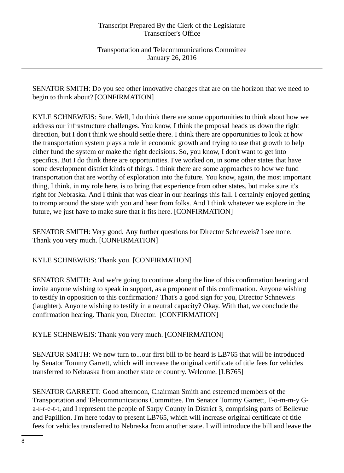Transportation and Telecommunications Committee January 26, 2016

SENATOR SMITH: Do you see other innovative changes that are on the horizon that we need to begin to think about? [CONFIRMATION]

KYLE SCHNEWEIS: Sure. Well, I do think there are some opportunities to think about how we address our infrastructure challenges. You know, I think the proposal heads us down the right direction, but I don't think we should settle there. I think there are opportunities to look at how the transportation system plays a role in economic growth and trying to use that growth to help either fund the system or make the right decisions. So, you know, I don't want to get into specifics. But I do think there are opportunities. I've worked on, in some other states that have some development district kinds of things. I think there are some approaches to how we fund transportation that are worthy of exploration into the future. You know, again, the most important thing, I think, in my role here, is to bring that experience from other states, but make sure it's right for Nebraska. And I think that was clear in our hearings this fall. I certainly enjoyed getting to tromp around the state with you and hear from folks. And I think whatever we explore in the future, we just have to make sure that it fits here. [CONFIRMATION]

SENATOR SMITH: Very good. Any further questions for Director Schneweis? I see none. Thank you very much. [CONFIRMATION]

KYLE SCHNEWEIS: Thank you. [CONFIRMATION]

SENATOR SMITH: And we're going to continue along the line of this confirmation hearing and invite anyone wishing to speak in support, as a proponent of this confirmation. Anyone wishing to testify in opposition to this confirmation? That's a good sign for you, Director Schneweis (laughter). Anyone wishing to testify in a neutral capacity? Okay. With that, we conclude the confirmation hearing. Thank you, Director. [CONFIRMATION]

KYLE SCHNEWEIS: Thank you very much. [CONFIRMATION]

SENATOR SMITH: We now turn to...our first bill to be heard is LB765 that will be introduced by Senator Tommy Garrett, which will increase the original certificate of title fees for vehicles transferred to Nebraska from another state or country. Welcome. [LB765]

SENATOR GARRETT: Good afternoon, Chairman Smith and esteemed members of the Transportation and Telecommunications Committee. I'm Senator Tommy Garrett, T-o-m-m-y Ga-r-r-e-t-t, and I represent the people of Sarpy County in District 3, comprising parts of Bellevue and Papillion. I'm here today to present LB765, which will increase original certificate of title fees for vehicles transferred to Nebraska from another state. I will introduce the bill and leave the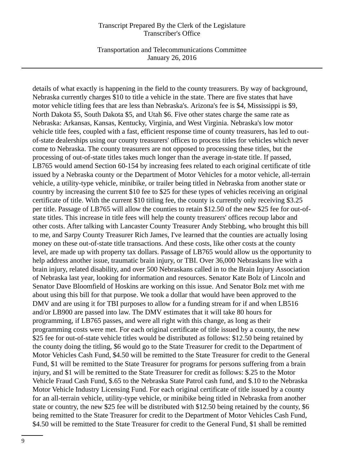Transportation and Telecommunications Committee January 26, 2016

details of what exactly is happening in the field to the county treasurers. By way of background, Nebraska currently charges \$10 to title a vehicle in the state. There are five states that have motor vehicle titling fees that are less than Nebraska's. Arizona's fee is \$4, Mississippi is \$9, North Dakota \$5, South Dakota \$5, and Utah \$6. Five other states charge the same rate as Nebraska: Arkansas, Kansas, Kentucky, Virginia, and West Virginia. Nebraska's low motor vehicle title fees, coupled with a fast, efficient response time of county treasurers, has led to outof-state dealerships using our county treasurers' offices to process titles for vehicles which never come to Nebraska. The county treasurers are not opposed to processing these titles, but the processing of out-of-state titles takes much longer than the average in-state title. If passed, LB765 would amend Section 60-154 by increasing fees related to each original certificate of title issued by a Nebraska county or the Department of Motor Vehicles for a motor vehicle, all-terrain vehicle, a utility-type vehicle, minibike, or trailer being titled in Nebraska from another state or country by increasing the current \$10 fee to \$25 for these types of vehicles receiving an original certificate of title. With the current \$10 titling fee, the county is currently only receiving \$3.25 per title. Passage of LB765 will allow the counties to retain \$12.50 of the new \$25 fee for out-ofstate titles. This increase in title fees will help the county treasurers' offices recoup labor and other costs. After talking with Lancaster County Treasurer Andy Stebbing, who brought this bill to me, and Sarpy County Treasurer Rich James, I've learned that the counties are actually losing money on these out-of-state title transactions. And these costs, like other costs at the county level, are made up with property tax dollars. Passage of LB765 would allow us the opportunity to help address another issue, traumatic brain injury, or TBI. Over 36,000 Nebraskans live with a brain injury, related disability, and over 500 Nebraskans called in to the Brain Injury Association of Nebraska last year, looking for information and resources. Senator Kate Bolz of Lincoln and Senator Dave Bloomfield of Hoskins are working on this issue. And Senator Bolz met with me about using this bill for that purpose. We took a dollar that would have been approved to the DMV and are using it for TBI purposes to allow for a funding stream for if and when LB516 and/or LB900 are passed into law. The DMV estimates that it will take 80 hours for programming, if LB765 passes, and were all right with this change, as long as their programming costs were met. For each original certificate of title issued by a county, the new \$25 fee for out-of-state vehicle titles would be distributed as follows: \$12.50 being retained by the county doing the titling, \$6 would go to the State Treasurer for credit to the Department of Motor Vehicles Cash Fund, \$4.50 will be remitted to the State Treasurer for credit to the General Fund, \$1 will be remitted to the State Treasurer for programs for persons suffering from a brain injury, and \$1 will be remitted to the State Treasurer for credit as follows: \$.25 to the Motor Vehicle Fraud Cash Fund, \$.65 to the Nebraska State Patrol cash fund, and \$.10 to the Nebraska Motor Vehicle Industry Licensing Fund. For each original certificate of title issued by a county for an all-terrain vehicle, utility-type vehicle, or minibike being titled in Nebraska from another state or country, the new \$25 fee will be distributed with \$12.50 being retained by the county, \$6 being remitted to the State Treasurer for credit to the Department of Motor Vehicles Cash Fund, \$4.50 will be remitted to the State Treasurer for credit to the General Fund, \$1 shall be remitted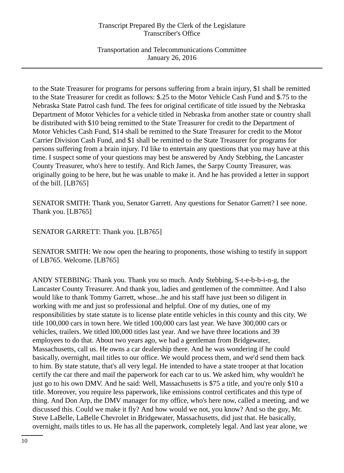Transportation and Telecommunications Committee January 26, 2016

to the State Treasurer for programs for persons suffering from a brain injury, \$1 shall be remitted to the State Treasurer for credit as follows: \$.25 to the Motor Vehicle Cash Fund and \$.75 to the Nebraska State Patrol cash fund. The fees for original certificate of title issued by the Nebraska Department of Motor Vehicles for a vehicle titled in Nebraska from another state or country shall be distributed with \$10 being remitted to the State Treasurer for credit to the Department of Motor Vehicles Cash Fund, \$14 shall be remitted to the State Treasurer for credit to the Motor Carrier Division Cash Fund, and \$1 shall be remitted to the State Treasurer for programs for persons suffering from a brain injury. I'd like to entertain any questions that you may have at this time. I suspect some of your questions may best be answered by Andy Stebbing, the Lancaster County Treasurer, who's here to testify. And Rich James, the Sarpy County Treasurer, was originally going to be here, but he was unable to make it. And he has provided a letter in support of the bill. [LB765]

SENATOR SMITH: Thank you, Senator Garrett. Any questions for Senator Garrett? I see none. Thank you. [LB765]

SENATOR GARRETT: Thank you. [LB765]

SENATOR SMITH: We now open the hearing to proponents, those wishing to testify in support of LB765. Welcome. [LB765]

ANDY STEBBING: Thank you. Thank you so much. Andy Stebbing, S-t-e-b-b-i-n-g, the Lancaster County Treasurer. And thank you, ladies and gentlemen of the committee. And I also would like to thank Tommy Garrett, whose...he and his staff have just been so diligent in working with me and just so professional and helpful. One of my duties, one of my responsibilities by state statute is to license plate entitle vehicles in this county and this city. We title 100,000 cars in town here. We titled 100,000 cars last year. We have 300,000 cars or vehicles, trailers. We titled l00,000 titles last year. And we have three locations and 39 employees to do that. About two years ago, we had a gentleman from Bridgewater, Massachusetts, call us. He owns a car dealership there. And he was wondering if he could basically, overnight, mail titles to our office. We would process them, and we'd send them back to him. By state statute, that's all very legal. He intended to have a state trooper at that location certify the car there and mail the paperwork for each car to us. We asked him, why wouldn't he just go to his own DMV. And he said: Well, Massachusetts is \$75 a title, and you're only \$10 a title. Moreover, you require less paperwork, like emissions control certificates and this type of thing. And Don Arp, the DMV manager for my office, who's here now, called a meeting, and we discussed this. Could we make it fly? And how would we not, you know? And so the guy, Mr. Steve LaBelle, LaBelle Chevrolet in Bridgewater, Massachusetts, did just that. He basically, overnight, mails titles to us. He has all the paperwork, completely legal. And last year alone, we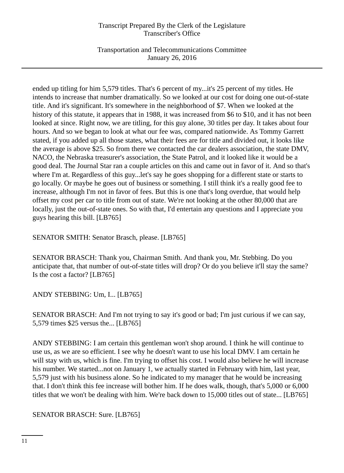Transportation and Telecommunications Committee January 26, 2016

ended up titling for him 5,579 titles. That's 6 percent of my...it's 25 percent of my titles. He intends to increase that number dramatically. So we looked at our cost for doing one out-of-state title. And it's significant. It's somewhere in the neighborhood of \$7. When we looked at the history of this statute, it appears that in 1988, it was increased from \$6 to \$10, and it has not been looked at since. Right now, we are titling, for this guy alone, 30 titles per day. It takes about four hours. And so we began to look at what our fee was, compared nationwide. As Tommy Garrett stated, if you added up all those states, what their fees are for title and divided out, it looks like the average is above \$25. So from there we contacted the car dealers association, the state DMV, NACO, the Nebraska treasurer's association, the State Patrol, and it looked like it would be a good deal. The Journal Star ran a couple articles on this and came out in favor of it. And so that's where I'm at. Regardless of this guy...let's say he goes shopping for a different state or starts to go locally. Or maybe he goes out of business or something. I still think it's a really good fee to increase, although I'm not in favor of fees. But this is one that's long overdue, that would help offset my cost per car to title from out of state. We're not looking at the other 80,000 that are locally, just the out-of-state ones. So with that, I'd entertain any questions and I appreciate you guys hearing this bill. [LB765]

SENATOR SMITH: Senator Brasch, please. [LB765]

SENATOR BRASCH: Thank you, Chairman Smith. And thank you, Mr. Stebbing. Do you anticipate that, that number of out-of-state titles will drop? Or do you believe it'll stay the same? Is the cost a factor? [LB765]

ANDY STEBBING: Um, I... [LB765]

SENATOR BRASCH: And I'm not trying to say it's good or bad; I'm just curious if we can say, 5,579 times \$25 versus the... [LB765]

ANDY STEBBING: I am certain this gentleman won't shop around. I think he will continue to use us, as we are so efficient. I see why he doesn't want to use his local DMV. I am certain he will stay with us, which is fine. I'm trying to offset his cost. I would also believe he will increase his number. We started...not on January 1, we actually started in February with him, last year, 5,579 just with his business alone. So he indicated to my manager that he would be increasing that. I don't think this fee increase will bother him. If he does walk, though, that's 5,000 or 6,000 titles that we won't be dealing with him. We're back down to 15,000 titles out of state... [LB765]

SENATOR BRASCH: Sure. [LB765]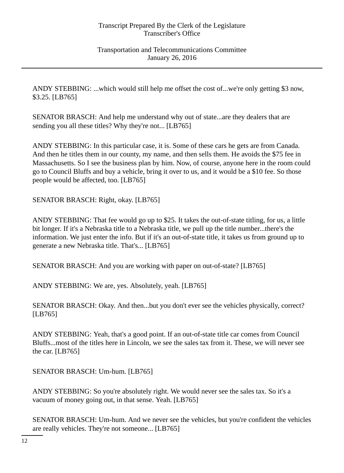ANDY STEBBING: ...which would still help me offset the cost of...we're only getting \$3 now, \$3.25. [LB765]

SENATOR BRASCH: And help me understand why out of state...are they dealers that are sending you all these titles? Why they're not... [LB765]

ANDY STEBBING: In this particular case, it is. Some of these cars he gets are from Canada. And then he titles them in our county, my name, and then sells them. He avoids the \$75 fee in Massachusetts. So I see the business plan by him. Now, of course, anyone here in the room could go to Council Bluffs and buy a vehicle, bring it over to us, and it would be a \$10 fee. So those people would be affected, too. [LB765]

SENATOR BRASCH: Right, okay. [LB765]

ANDY STEBBING: That fee would go up to \$25. It takes the out-of-state titling, for us, a little bit longer. If it's a Nebraska title to a Nebraska title, we pull up the title number...there's the information. We just enter the info. But if it's an out-of-state title, it takes us from ground up to generate a new Nebraska title. That's... [LB765]

SENATOR BRASCH: And you are working with paper on out-of-state? [LB765]

ANDY STEBBING: We are, yes. Absolutely, yeah. [LB765]

SENATOR BRASCH: Okay. And then...but you don't ever see the vehicles physically, correct? [LB765]

ANDY STEBBING: Yeah, that's a good point. If an out-of-state title car comes from Council Bluffs...most of the titles here in Lincoln, we see the sales tax from it. These, we will never see the car. [LB765]

SENATOR BRASCH: Um-hum. [LB765]

ANDY STEBBING: So you're absolutely right. We would never see the sales tax. So it's a vacuum of money going out, in that sense. Yeah. [LB765]

SENATOR BRASCH: Um-hum. And we never see the vehicles, but you're confident the vehicles are really vehicles. They're not someone... [LB765]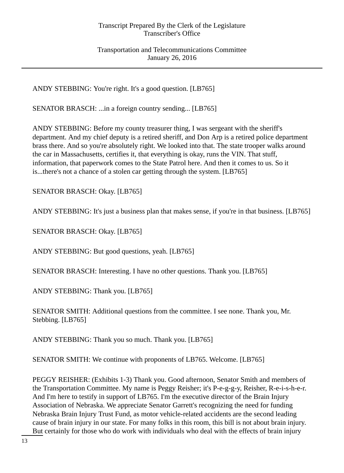Transportation and Telecommunications Committee January 26, 2016

ANDY STEBBING: You're right. It's a good question. [LB765]

SENATOR BRASCH: ...in a foreign country sending... [LB765]

ANDY STEBBING: Before my county treasurer thing, I was sergeant with the sheriff's department. And my chief deputy is a retired sheriff, and Don Arp is a retired police department brass there. And so you're absolutely right. We looked into that. The state trooper walks around the car in Massachusetts, certifies it, that everything is okay, runs the VIN. That stuff, information, that paperwork comes to the State Patrol here. And then it comes to us. So it is...there's not a chance of a stolen car getting through the system. [LB765]

SENATOR BRASCH: Okay. [LB765]

ANDY STEBBING: It's just a business plan that makes sense, if you're in that business. [LB765]

SENATOR BRASCH: Okay. [LB765]

ANDY STEBBING: But good questions, yeah. [LB765]

SENATOR BRASCH: Interesting. I have no other questions. Thank you. [LB765]

ANDY STEBBING: Thank you. [LB765]

SENATOR SMITH: Additional questions from the committee. I see none. Thank you, Mr. Stebbing. [LB765]

ANDY STEBBING: Thank you so much. Thank you. [LB765]

SENATOR SMITH: We continue with proponents of LB765. Welcome. [LB765]

PEGGY REISHER: (Exhibits 1-3) Thank you. Good afternoon, Senator Smith and members of the Transportation Committee. My name is Peggy Reisher; it's P-e-g-g-y, Reisher, R-e-i-s-h-e-r. And I'm here to testify in support of LB765. I'm the executive director of the Brain Injury Association of Nebraska. We appreciate Senator Garrett's recognizing the need for funding Nebraska Brain Injury Trust Fund, as motor vehicle-related accidents are the second leading cause of brain injury in our state. For many folks in this room, this bill is not about brain injury. But certainly for those who do work with individuals who deal with the effects of brain injury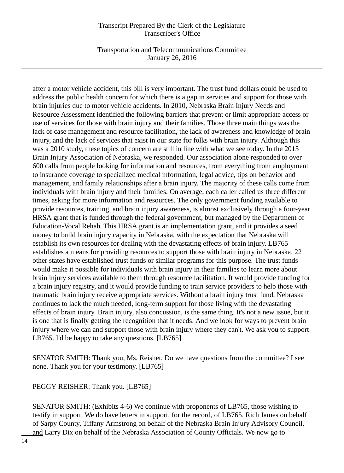Transportation and Telecommunications Committee January 26, 2016

after a motor vehicle accident, this bill is very important. The trust fund dollars could be used to address the public health concern for which there is a gap in services and support for those with brain injuries due to motor vehicle accidents. In 2010, Nebraska Brain Injury Needs and Resource Assessment identified the following barriers that prevent or limit appropriate access or use of services for those with brain injury and their families. Those three main things was the lack of case management and resource facilitation, the lack of awareness and knowledge of brain injury, and the lack of services that exist in our state for folks with brain injury. Although this was a 2010 study, these topics of concern are still in line with what we see today. In the 2015 Brain Injury Association of Nebraska, we responded. Our association alone responded to over 600 calls from people looking for information and resources, from everything from employment to insurance coverage to specialized medical information, legal advice, tips on behavior and management, and family relationships after a brain injury. The majority of these calls come from individuals with brain injury and their families. On average, each caller called us three different times, asking for more information and resources. The only government funding available to provide resources, training, and brain injury awareness, is almost exclusively through a four-year HRSA grant that is funded through the federal government, but managed by the Department of Education-Vocal Rehab. This HRSA grant is an implementation grant, and it provides a seed money to build brain injury capacity in Nebraska, with the expectation that Nebraska will establish its own resources for dealing with the devastating effects of brain injury. LB765 establishes a means for providing resources to support those with brain injury in Nebraska. 22 other states have established trust funds or similar programs for this purpose. The trust funds would make it possible for individuals with brain injury in their families to learn more about brain injury services available to them through resource facilitation. It would provide funding for a brain injury registry, and it would provide funding to train service providers to help those with traumatic brain injury receive appropriate services. Without a brain injury trust fund, Nebraska continues to lack the much needed, long-term support for those living with the devastating effects of brain injury. Brain injury, also concussion, is the same thing. It's not a new issue, but it is one that is finally getting the recognition that it needs. And we look for ways to prevent brain injury where we can and support those with brain injury where they can't. We ask you to support LB765. I'd be happy to take any questions. [LB765]

SENATOR SMITH: Thank you, Ms. Reisher. Do we have questions from the committee? I see none. Thank you for your testimony. [LB765]

PEGGY REISHER: Thank you. [LB765]

SENATOR SMITH: (Exhibits 4-6) We continue with proponents of LB765, those wishing to testify in support. We do have letters in support, for the record, of LB765. Rich James on behalf of Sarpy County, Tiffany Armstrong on behalf of the Nebraska Brain Injury Advisory Council, and Larry Dix on behalf of the Nebraska Association of County Officials. We now go to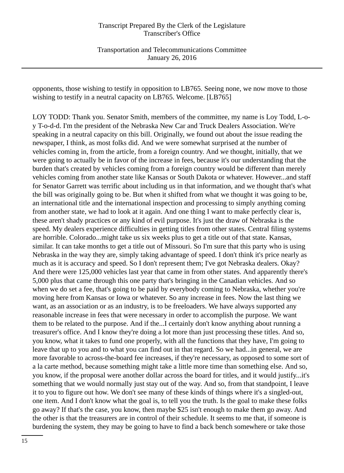Transportation and Telecommunications Committee January 26, 2016

opponents, those wishing to testify in opposition to LB765. Seeing none, we now move to those wishing to testify in a neutral capacity on LB765. Welcome. [LB765]

LOY TODD: Thank you. Senator Smith, members of the committee, my name is Loy Todd, L-oy T-o-d-d. I'm the president of the Nebraska New Car and Truck Dealers Association. We're speaking in a neutral capacity on this bill. Originally, we found out about the issue reading the newspaper, I think, as most folks did. And we were somewhat surprised at the number of vehicles coming in, from the article, from a foreign country. And we thought, initially, that we were going to actually be in favor of the increase in fees, because it's our understanding that the burden that's created by vehicles coming from a foreign country would be different than merely vehicles coming from another state like Kansas or South Dakota or whatever. However...and staff for Senator Garrett was terrific about including us in that information, and we thought that's what the bill was originally going to be. But when it shifted from what we thought it was going to be, an international title and the international inspection and processing to simply anything coming from another state, we had to look at it again. And one thing I want to make perfectly clear is, these aren't shady practices or any kind of evil purpose. It's just the draw of Nebraska is the speed. My dealers experience difficulties in getting titles from other states. Central filing systems are horrible. Colorado...might take us six weeks plus to get a title out of that state. Kansas, similar. It can take months to get a title out of Missouri. So I'm sure that this party who is using Nebraska in the way they are, simply taking advantage of speed. I don't think it's price nearly as much as it is accuracy and speed. So I don't represent them; I've got Nebraska dealers. Okay? And there were 125,000 vehicles last year that came in from other states. And apparently there's 5,000 plus that came through this one party that's bringing in the Canadian vehicles. And so when we do set a fee, that's going to be paid by everybody coming to Nebraska, whether you're moving here from Kansas or Iowa or whatever. So any increase in fees. Now the last thing we want, as an association or as an industry, is to be freeloaders. We have always supported any reasonable increase in fees that were necessary in order to accomplish the purpose. We want them to be related to the purpose. And if the...I certainly don't know anything about running a treasurer's office. And I know they're doing a lot more than just processing these titles. And so, you know, what it takes to fund one properly, with all the functions that they have, I'm going to leave that up to you and to what you can find out in that regard. So we had...in general, we are more favorable to across-the-board fee increases, if they're necessary, as opposed to some sort of a la carte method, because something might take a little more time than something else. And so, you know, if the proposal were another dollar across the board for titles, and it would justify...it's something that we would normally just stay out of the way. And so, from that standpoint, I leave it to you to figure out how. We don't see many of these kinds of things where it's a singled-out, one item. And I don't know what the goal is, to tell you the truth. Is the goal to make these folks go away? If that's the case, you know, then maybe \$25 isn't enough to make them go away. And the other is that the treasurers are in control of their schedule. It seems to me that, if someone is burdening the system, they may be going to have to find a back bench somewhere or take those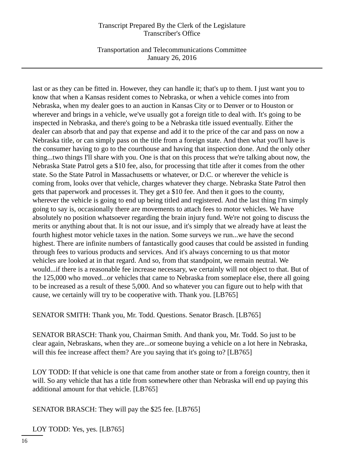Transportation and Telecommunications Committee January 26, 2016

last or as they can be fitted in. However, they can handle it; that's up to them. I just want you to know that when a Kansas resident comes to Nebraska, or when a vehicle comes into from Nebraska, when my dealer goes to an auction in Kansas City or to Denver or to Houston or wherever and brings in a vehicle, we've usually got a foreign title to deal with. It's going to be inspected in Nebraska, and there's going to be a Nebraska title issued eventually. Either the dealer can absorb that and pay that expense and add it to the price of the car and pass on now a Nebraska title, or can simply pass on the title from a foreign state. And then what you'll have is the consumer having to go to the courthouse and having that inspection done. And the only other thing...two things I'll share with you. One is that on this process that we're talking about now, the Nebraska State Patrol gets a \$10 fee, also, for processing that title after it comes from the other state. So the State Patrol in Massachusetts or whatever, or D.C. or wherever the vehicle is coming from, looks over that vehicle, charges whatever they charge. Nebraska State Patrol then gets that paperwork and processes it. They get a \$10 fee. And then it goes to the county, wherever the vehicle is going to end up being titled and registered. And the last thing I'm simply going to say is, occasionally there are movements to attach fees to motor vehicles. We have absolutely no position whatsoever regarding the brain injury fund. We're not going to discuss the merits or anything about that. It is not our issue, and it's simply that we already have at least the fourth highest motor vehicle taxes in the nation. Some surveys we run...we have the second highest. There are infinite numbers of fantastically good causes that could be assisted in funding through fees to various products and services. And it's always concerning to us that motor vehicles are looked at in that regard. And so, from that standpoint, we remain neutral. We would...if there is a reasonable fee increase necessary, we certainly will not object to that. But of the 125,000 who moved...or vehicles that came to Nebraska from someplace else, there all going to be increased as a result of these 5,000. And so whatever you can figure out to help with that cause, we certainly will try to be cooperative with. Thank you. [LB765]

SENATOR SMITH: Thank you, Mr. Todd. Questions. Senator Brasch. [LB765]

SENATOR BRASCH: Thank you, Chairman Smith. And thank you, Mr. Todd. So just to be clear again, Nebraskans, when they are...or someone buying a vehicle on a lot here in Nebraska, will this fee increase affect them? Are you saying that it's going to? [LB765]

LOY TODD: If that vehicle is one that came from another state or from a foreign country, then it will. So any vehicle that has a title from somewhere other than Nebraska will end up paying this additional amount for that vehicle. [LB765]

SENATOR BRASCH: They will pay the \$25 fee. [LB765]

LOY TODD: Yes, yes. [LB765]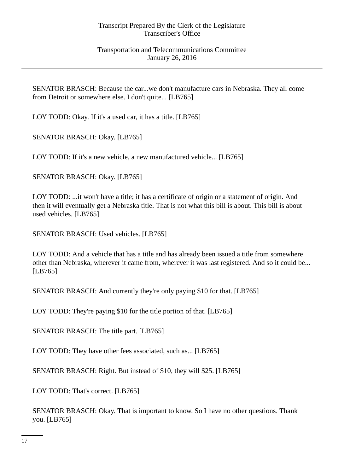SENATOR BRASCH: Because the car...we don't manufacture cars in Nebraska. They all come from Detroit or somewhere else. I don't quite... [LB765]

LOY TODD: Okay. If it's a used car, it has a title. [LB765]

SENATOR BRASCH: Okay. [LB765]

LOY TODD: If it's a new vehicle, a new manufactured vehicle... [LB765]

SENATOR BRASCH: Okay. [LB765]

LOY TODD: ...it won't have a title; it has a certificate of origin or a statement of origin. And then it will eventually get a Nebraska title. That is not what this bill is about. This bill is about used vehicles. [LB765]

SENATOR BRASCH: Used vehicles. [LB765]

LOY TODD: And a vehicle that has a title and has already been issued a title from somewhere other than Nebraska, wherever it came from, wherever it was last registered. And so it could be... [LB765]

SENATOR BRASCH: And currently they're only paying \$10 for that. [LB765]

LOY TODD: They're paying \$10 for the title portion of that. [LB765]

SENATOR BRASCH: The title part. [LB765]

LOY TODD: They have other fees associated, such as... [LB765]

SENATOR BRASCH: Right. But instead of \$10, they will \$25. [LB765]

LOY TODD: That's correct. [LB765]

SENATOR BRASCH: Okay. That is important to know. So I have no other questions. Thank you. [LB765]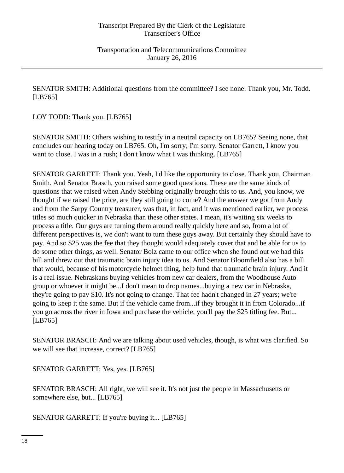SENATOR SMITH: Additional questions from the committee? I see none. Thank you, Mr. Todd. [LB765]

LOY TODD: Thank you. [LB765]

SENATOR SMITH: Others wishing to testify in a neutral capacity on LB765? Seeing none, that concludes our hearing today on LB765. Oh, I'm sorry; I'm sorry. Senator Garrett, I know you want to close. I was in a rush; I don't know what I was thinking. [LB765]

SENATOR GARRETT: Thank you. Yeah, I'd like the opportunity to close. Thank you, Chairman Smith. And Senator Brasch, you raised some good questions. These are the same kinds of questions that we raised when Andy Stebbing originally brought this to us. And, you know, we thought if we raised the price, are they still going to come? And the answer we got from Andy and from the Sarpy Country treasurer, was that, in fact, and it was mentioned earlier, we process titles so much quicker in Nebraska than these other states. I mean, it's waiting six weeks to process a title. Our guys are turning them around really quickly here and so, from a lot of different perspectives is, we don't want to turn these guys away. But certainly they should have to pay. And so \$25 was the fee that they thought would adequately cover that and be able for us to do some other things, as well. Senator Bolz came to our office when she found out we had this bill and threw out that traumatic brain injury idea to us. And Senator Bloomfield also has a bill that would, because of his motorcycle helmet thing, help fund that traumatic brain injury. And it is a real issue. Nebraskans buying vehicles from new car dealers, from the Woodhouse Auto group or whoever it might be...I don't mean to drop names...buying a new car in Nebraska, they're going to pay \$10. It's not going to change. That fee hadn't changed in 27 years; we're going to keep it the same. But if the vehicle came from...if they brought it in from Colorado...if you go across the river in Iowa and purchase the vehicle, you'll pay the \$25 titling fee. But... [LB765]

SENATOR BRASCH: And we are talking about used vehicles, though, is what was clarified. So we will see that increase, correct? [LB765]

SENATOR GARRETT: Yes, yes. [LB765]

SENATOR BRASCH: All right, we will see it. It's not just the people in Massachusetts or somewhere else, but... [LB765]

SENATOR GARRETT: If you're buying it... [LB765]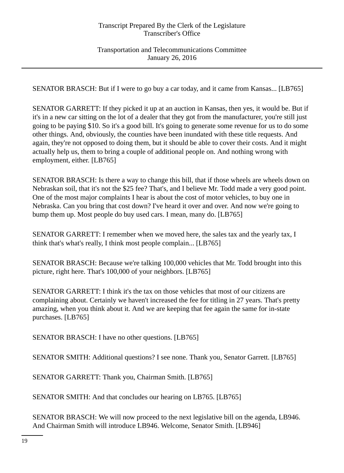Transportation and Telecommunications Committee January 26, 2016

SENATOR BRASCH: But if I were to go buy a car today, and it came from Kansas... [LB765]

SENATOR GARRETT: If they picked it up at an auction in Kansas, then yes, it would be. But if it's in a new car sitting on the lot of a dealer that they got from the manufacturer, you're still just going to be paying \$10. So it's a good bill. It's going to generate some revenue for us to do some other things. And, obviously, the counties have been inundated with these title requests. And again, they're not opposed to doing them, but it should be able to cover their costs. And it might actually help us, them to bring a couple of additional people on. And nothing wrong with employment, either. [LB765]

SENATOR BRASCH: Is there a way to change this bill, that if those wheels are wheels down on Nebraskan soil, that it's not the \$25 fee? That's, and I believe Mr. Todd made a very good point. One of the most major complaints I hear is about the cost of motor vehicles, to buy one in Nebraska. Can you bring that cost down? I've heard it over and over. And now we're going to bump them up. Most people do buy used cars. I mean, many do. [LB765]

SENATOR GARRETT: I remember when we moved here, the sales tax and the yearly tax, I think that's what's really, I think most people complain... [LB765]

SENATOR BRASCH: Because we're talking 100,000 vehicles that Mr. Todd brought into this picture, right here. That's 100,000 of your neighbors. [LB765]

SENATOR GARRETT: I think it's the tax on those vehicles that most of our citizens are complaining about. Certainly we haven't increased the fee for titling in 27 years. That's pretty amazing, when you think about it. And we are keeping that fee again the same for in-state purchases. [LB765]

SENATOR BRASCH: I have no other questions. [LB765]

SENATOR SMITH: Additional questions? I see none. Thank you, Senator Garrett. [LB765]

SENATOR GARRETT: Thank you, Chairman Smith. [LB765]

SENATOR SMITH: And that concludes our hearing on LB765. [LB765]

SENATOR BRASCH: We will now proceed to the next legislative bill on the agenda, LB946. And Chairman Smith will introduce LB946. Welcome, Senator Smith. [LB946]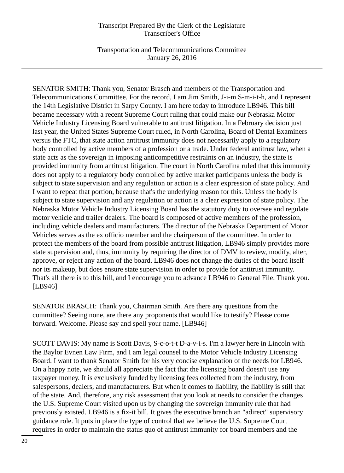Transportation and Telecommunications Committee January 26, 2016

SENATOR SMITH: Thank you, Senator Brasch and members of the Transportation and Telecommunications Committee. For the record, I am Jim Smith, J-i-m S-m-i-t-h, and I represent the 14th Legislative District in Sarpy County. I am here today to introduce LB946. This bill became necessary with a recent Supreme Court ruling that could make our Nebraska Motor Vehicle Industry Licensing Board vulnerable to antitrust litigation. In a February decision just last year, the United States Supreme Court ruled, in North Carolina, Board of Dental Examiners versus the FTC, that state action antitrust immunity does not necessarily apply to a regulatory body controlled by active members of a profession or a trade. Under federal antitrust law, when a state acts as the sovereign in imposing anticompetitive restraints on an industry, the state is provided immunity from antitrust litigation. The court in North Carolina ruled that this immunity does not apply to a regulatory body controlled by active market participants unless the body is subject to state supervision and any regulation or action is a clear expression of state policy. And I want to repeat that portion, because that's the underlying reason for this. Unless the body is subject to state supervision and any regulation or action is a clear expression of state policy. The Nebraska Motor Vehicle Industry Licensing Board has the statutory duty to oversee and regulate motor vehicle and trailer dealers. The board is composed of active members of the profession, including vehicle dealers and manufacturers. The director of the Nebraska Department of Motor Vehicles serves as the ex officio member and the chairperson of the committee. In order to protect the members of the board from possible antitrust litigation, LB946 simply provides more state supervision and, thus, immunity by requiring the director of DMV to review, modify, alter, approve, or reject any action of the board. LB946 does not change the duties of the board itself nor its makeup, but does ensure state supervision in order to provide for antitrust immunity. That's all there is to this bill, and I encourage you to advance LB946 to General File. Thank you. [LB946]

SENATOR BRASCH: Thank you, Chairman Smith. Are there any questions from the committee? Seeing none, are there any proponents that would like to testify? Please come forward. Welcome. Please say and spell your name. [LB946]

SCOTT DAVIS: My name is Scott Davis, S-c-o-t-t D-a-v-i-s. I'm a lawyer here in Lincoln with the Baylor Evnen Law Firm, and I am legal counsel to the Motor Vehicle Industry Licensing Board. I want to thank Senator Smith for his very concise explanation of the needs for LB946. On a happy note, we should all appreciate the fact that the licensing board doesn't use any taxpayer money. It is exclusively funded by licensing fees collected from the industry, from salespersons, dealers, and manufacturers. But when it comes to liability, the liability is still that of the state. And, therefore, any risk assessment that you look at needs to consider the changes the U.S. Supreme Court visited upon us by changing the sovereign immunity rule that had previously existed. LB946 is a fix-it bill. It gives the executive branch an "adirect" supervisory guidance role. It puts in place the type of control that we believe the U.S. Supreme Court requires in order to maintain the status quo of antitrust immunity for board members and the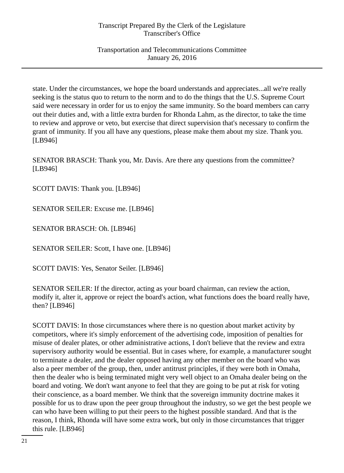Transportation and Telecommunications Committee January 26, 2016

state. Under the circumstances, we hope the board understands and appreciates...all we're really seeking is the status quo to return to the norm and to do the things that the U.S. Supreme Court said were necessary in order for us to enjoy the same immunity. So the board members can carry out their duties and, with a little extra burden for Rhonda Lahm, as the director, to take the time to review and approve or veto, but exercise that direct supervision that's necessary to confirm the grant of immunity. If you all have any questions, please make them about my size. Thank you. [LB946]

SENATOR BRASCH: Thank you, Mr. Davis. Are there any questions from the committee? [LB946]

SCOTT DAVIS: Thank you. [LB946]

SENATOR SEILER: Excuse me. [LB946]

SENATOR BRASCH: Oh. [LB946]

SENATOR SEILER: Scott, I have one. [LB946]

SCOTT DAVIS: Yes, Senator Seiler. [LB946]

SENATOR SEILER: If the director, acting as your board chairman, can review the action, modify it, alter it, approve or reject the board's action, what functions does the board really have, then? [LB946]

SCOTT DAVIS: In those circumstances where there is no question about market activity by competitors, where it's simply enforcement of the advertising code, imposition of penalties for misuse of dealer plates, or other administrative actions, I don't believe that the review and extra supervisory authority would be essential. But in cases where, for example, a manufacturer sought to terminate a dealer, and the dealer opposed having any other member on the board who was also a peer member of the group, then, under antitrust principles, if they were both in Omaha, then the dealer who is being terminated might very well object to an Omaha dealer being on the board and voting. We don't want anyone to feel that they are going to be put at risk for voting their conscience, as a board member. We think that the sovereign immunity doctrine makes it possible for us to draw upon the peer group throughout the industry, so we get the best people we can who have been willing to put their peers to the highest possible standard. And that is the reason, I think, Rhonda will have some extra work, but only in those circumstances that trigger this rule. [LB946]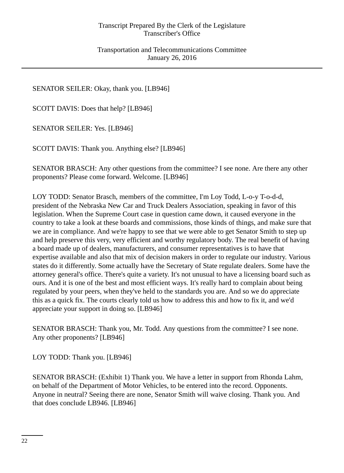SENATOR SEILER: Okay, thank you. [LB946]

SCOTT DAVIS: Does that help? [LB946]

SENATOR SEILER: Yes. [LB946]

SCOTT DAVIS: Thank you. Anything else? [LB946]

SENATOR BRASCH: Any other questions from the committee? I see none. Are there any other proponents? Please come forward. Welcome. [LB946]

LOY TODD: Senator Brasch, members of the committee, I'm Loy Todd, L-o-y T-o-d-d, president of the Nebraska New Car and Truck Dealers Association, speaking in favor of this legislation. When the Supreme Court case in question came down, it caused everyone in the country to take a look at these boards and commissions, those kinds of things, and make sure that we are in compliance. And we're happy to see that we were able to get Senator Smith to step up and help preserve this very, very efficient and worthy regulatory body. The real benefit of having a board made up of dealers, manufacturers, and consumer representatives is to have that expertise available and also that mix of decision makers in order to regulate our industry. Various states do it differently. Some actually have the Secretary of State regulate dealers. Some have the attorney general's office. There's quite a variety. It's not unusual to have a licensing board such as ours. And it is one of the best and most efficient ways. It's really hard to complain about being regulated by your peers, when they've held to the standards you are. And so we do appreciate this as a quick fix. The courts clearly told us how to address this and how to fix it, and we'd appreciate your support in doing so. [LB946]

SENATOR BRASCH: Thank you, Mr. Todd. Any questions from the committee? I see none. Any other proponents? [LB946]

LOY TODD: Thank you. [LB946]

SENATOR BRASCH: (Exhibit 1) Thank you. We have a letter in support from Rhonda Lahm, on behalf of the Department of Motor Vehicles, to be entered into the record. Opponents. Anyone in neutral? Seeing there are none, Senator Smith will waive closing. Thank you. And that does conclude LB946. [LB946]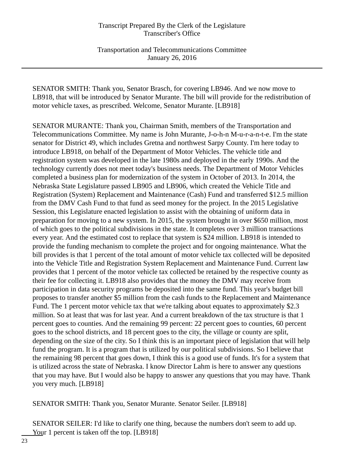Transportation and Telecommunications Committee January 26, 2016

SENATOR SMITH: Thank you, Senator Brasch, for covering LB946. And we now move to LB918, that will be introduced by Senator Murante. The bill will provide for the redistribution of motor vehicle taxes, as prescribed. Welcome, Senator Murante. [LB918]

SENATOR MURANTE: Thank you, Chairman Smith, members of the Transportation and Telecommunications Committee. My name is John Murante, J-o-h-n M-u-r-a-n-t-e. I'm the state senator for District 49, which includes Gretna and northwest Sarpy County. I'm here today to introduce LB918, on behalf of the Department of Motor Vehicles. The vehicle title and registration system was developed in the late 1980s and deployed in the early 1990s. And the technology currently does not meet today's business needs. The Department of Motor Vehicles completed a business plan for modernization of the system in October of 2013. In 2014, the Nebraska State Legislature passed LB905 and LB906, which created the Vehicle Title and Registration (System) Replacement and Maintenance (Cash) Fund and transferred \$12.5 million from the DMV Cash Fund to that fund as seed money for the project. In the 2015 Legislative Session, this Legislature enacted legislation to assist with the obtaining of uniform data in preparation for moving to a new system. In 2015, the system brought in over \$650 million, most of which goes to the political subdivisions in the state. It completes over 3 million transactions every year. And the estimated cost to replace that system is \$24 million. LB918 is intended to provide the funding mechanism to complete the project and for ongoing maintenance. What the bill provides is that 1 percent of the total amount of motor vehicle tax collected will be deposited into the Vehicle Title and Registration System Replacement and Maintenance Fund. Current law provides that 1 percent of the motor vehicle tax collected be retained by the respective county as their fee for collecting it. LB918 also provides that the money the DMV may receive from participation in data security programs be deposited into the same fund. This year's budget bill proposes to transfer another \$5 million from the cash funds to the Replacement and Maintenance Fund. The 1 percent motor vehicle tax that we're talking about equates to approximately \$2.3 million. So at least that was for last year. And a current breakdown of the tax structure is that 1 percent goes to counties. And the remaining 99 percent: 22 percent goes to counties, 60 percent goes to the school districts, and 18 percent goes to the city, the village or county are split, depending on the size of the city. So I think this is an important piece of legislation that will help fund the program. It is a program that is utilized by our political subdivisions. So I believe that the remaining 98 percent that goes down, I think this is a good use of funds. It's for a system that is utilized across the state of Nebraska. I know Director Lahm is here to answer any questions that you may have. But I would also be happy to answer any questions that you may have. Thank you very much. [LB918]

SENATOR SMITH: Thank you, Senator Murante. Senator Seiler. [LB918]

SENATOR SEILER: I'd like to clarify one thing, because the numbers don't seem to add up. Your 1 percent is taken off the top. [LB918]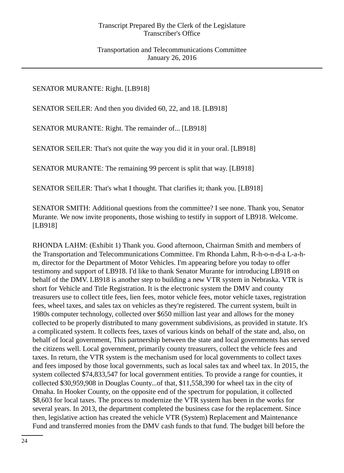SENATOR MURANTE: Right. [LB918]

SENATOR SEILER: And then you divided 60, 22, and 18. [LB918]

SENATOR MURANTE: Right. The remainder of... [LB918]

SENATOR SEILER: That's not quite the way you did it in your oral. [LB918]

SENATOR MURANTE: The remaining 99 percent is split that way. [LB918]

SENATOR SEILER: That's what I thought. That clarifies it; thank you. [LB918]

SENATOR SMITH: Additional questions from the committee? I see none. Thank you, Senator Murante. We now invite proponents, those wishing to testify in support of LB918. Welcome. [LB918]

RHONDA LAHM: (Exhibit 1) Thank you. Good afternoon, Chairman Smith and members of the Transportation and Telecommunications Committee. I'm Rhonda Lahm, R-h-o-n-d-a L-a-hm, director for the Department of Motor Vehicles. I'm appearing before you today to offer testimony and support of LB918. I'd like to thank Senator Murante for introducing LB918 on behalf of the DMV. LB918 is another step to building a new VTR system in Nebraska. VTR is short for Vehicle and Title Registration. It is the electronic system the DMV and county treasurers use to collect title fees, lien fees, motor vehicle fees, motor vehicle taxes, registration fees, wheel taxes, and sales tax on vehicles as they're registered. The current system, built in 1980s computer technology, collected over \$650 million last year and allows for the money collected to be properly distributed to many government subdivisions, as provided in statute. It's a complicated system. It collects fees, taxes of various kinds on behalf of the state and, also, on behalf of local government, This partnership between the state and local governments has served the citizens well. Local government, primarily county treasurers, collect the vehicle fees and taxes. In return, the VTR system is the mechanism used for local governments to collect taxes and fees imposed by those local governments, such as local sales tax and wheel tax. In 2015, the system collected \$74,833,547 for local government entities. To provide a range for counties, it collected \$30,959,908 in Douglas County...of that, \$11,558,390 for wheel tax in the city of Omaha. In Hooker County, on the opposite end of the spectrum for population, it collected \$8,603 for local taxes. The process to modernize the VTR system has been in the works for several years. In 2013, the department completed the business case for the replacement. Since then, legislative action has created the vehicle VTR (System) Replacement and Maintenance Fund and transferred monies from the DMV cash funds to that fund. The budget bill before the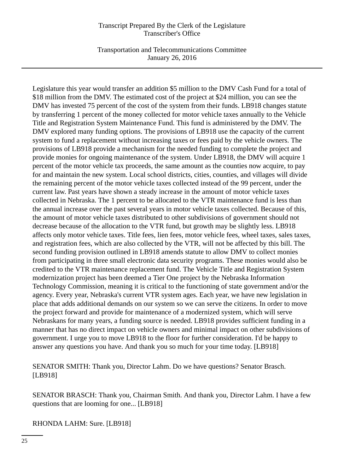Transportation and Telecommunications Committee January 26, 2016

Legislature this year would transfer an addition \$5 million to the DMV Cash Fund for a total of \$18 million from the DMV. The estimated cost of the project at \$24 million, you can see the DMV has invested 75 percent of the cost of the system from their funds. LB918 changes statute by transferring 1 percent of the money collected for motor vehicle taxes annually to the Vehicle Title and Registration System Maintenance Fund. This fund is administered by the DMV. The DMV explored many funding options. The provisions of LB918 use the capacity of the current system to fund a replacement without increasing taxes or fees paid by the vehicle owners. The provisions of LB918 provide a mechanism for the needed funding to complete the project and provide monies for ongoing maintenance of the system. Under LB918, the DMV will acquire 1 percent of the motor vehicle tax proceeds, the same amount as the counties now acquire, to pay for and maintain the new system. Local school districts, cities, counties, and villages will divide the remaining percent of the motor vehicle taxes collected instead of the 99 percent, under the current law. Past years have shown a steady increase in the amount of motor vehicle taxes collected in Nebraska. The 1 percent to be allocated to the VTR maintenance fund is less than the annual increase over the past several years in motor vehicle taxes collected. Because of this, the amount of motor vehicle taxes distributed to other subdivisions of government should not decrease because of the allocation to the VTR fund, but growth may be slightly less. LB918 affects only motor vehicle taxes. Title fees, lien fees, motor vehicle fees, wheel taxes, sales taxes, and registration fees, which are also collected by the VTR, will not be affected by this bill. The second funding provision outlined in LB918 amends statute to allow DMV to collect monies from participating in three small electronic data security programs. These monies would also be credited to the VTR maintenance replacement fund. The Vehicle Title and Registration System modernization project has been deemed a Tier One project by the Nebraska Information Technology Commission, meaning it is critical to the functioning of state government and/or the agency. Every year, Nebraska's current VTR system ages. Each year, we have new legislation in place that adds additional demands on our system so we can serve the citizens. In order to move the project forward and provide for maintenance of a modernized system, which will serve Nebraskans for many years, a funding source is needed. LB918 provides sufficient funding in a manner that has no direct impact on vehicle owners and minimal impact on other subdivisions of government. I urge you to move LB918 to the floor for further consideration. I'd be happy to answer any questions you have. And thank you so much for your time today. [LB918]

SENATOR SMITH: Thank you, Director Lahm. Do we have questions? Senator Brasch. [LB918]

SENATOR BRASCH: Thank you, Chairman Smith. And thank you, Director Lahm. I have a few questions that are looming for one... [LB918]

RHONDA LAHM: Sure. [LB918]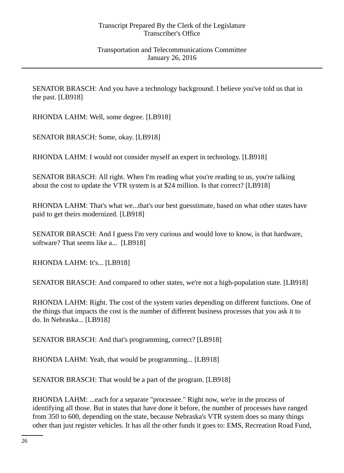SENATOR BRASCH: And you have a technology background. I believe you've told us that in the past. [LB918]

RHONDA LAHM: Well, some degree. [LB918]

SENATOR BRASCH: Some, okay. [LB918]

RHONDA LAHM: I would not consider myself an expert in technology. [LB918]

SENATOR BRASCH: All right. When I'm reading what you're reading to us, you're talking about the cost to update the VTR system is at \$24 million. Is that correct? [LB918]

RHONDA LAHM: That's what we...that's our best guesstimate, based on what other states have paid to get theirs modernized. [LB918]

SENATOR BRASCH: And I guess I'm very curious and would love to know, is that hardware, software? That seems like a... [LB918]

RHONDA LAHM: It's... [LB918]

SENATOR BRASCH: And compared to other states, we're not a high-population state. [LB918]

RHONDA LAHM: Right. The cost of the system varies depending on different functions. One of the things that impacts the cost is the number of different business processes that you ask it to do. In Nebraska... [LB918]

SENATOR BRASCH: And that's programming, correct? [LB918]

RHONDA LAHM: Yeah, that would be programming... [LB918]

SENATOR BRASCH: That would be a part of the program. [LB918]

RHONDA LAHM: ...each for a separate "processee." Right now, we're in the process of identifying all those. But in states that have done it before, the number of processes have ranged from 350 to 600, depending on the state, because Nebraska's VTR system does so many things other than just register vehicles. It has all the other funds it goes to: EMS, Recreation Road Fund,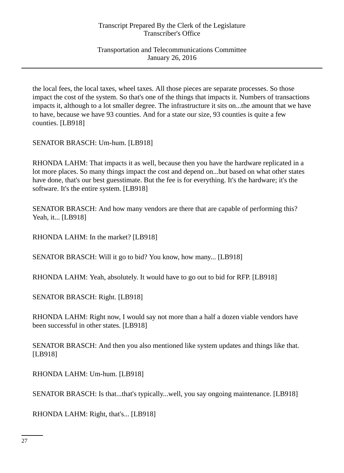Transportation and Telecommunications Committee January 26, 2016

the local fees, the local taxes, wheel taxes. All those pieces are separate processes. So those impact the cost of the system. So that's one of the things that impacts it. Numbers of transactions impacts it, although to a lot smaller degree. The infrastructure it sits on...the amount that we have to have, because we have 93 counties. And for a state our size, 93 counties is quite a few counties. [LB918]

SENATOR BRASCH: Um-hum. [LB918]

RHONDA LAHM: That impacts it as well, because then you have the hardware replicated in a lot more places. So many things impact the cost and depend on...but based on what other states have done, that's our best guesstimate. But the fee is for everything. It's the hardware; it's the software. It's the entire system. [LB918]

SENATOR BRASCH: And how many vendors are there that are capable of performing this? Yeah, it... [LB918]

RHONDA LAHM: In the market? [LB918]

SENATOR BRASCH: Will it go to bid? You know, how many... [LB918]

RHONDA LAHM: Yeah, absolutely. It would have to go out to bid for RFP. [LB918]

SENATOR BRASCH: Right. [LB918]

RHONDA LAHM: Right now, I would say not more than a half a dozen viable vendors have been successful in other states. [LB918]

SENATOR BRASCH: And then you also mentioned like system updates and things like that. [LB918]

RHONDA LAHM: Um-hum. [LB918]

SENATOR BRASCH: Is that...that's typically...well, you say ongoing maintenance. [LB918]

RHONDA LAHM: Right, that's... [LB918]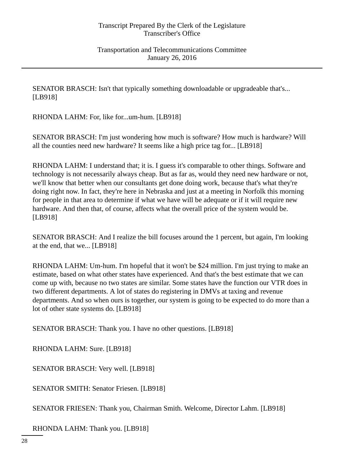SENATOR BRASCH: Isn't that typically something downloadable or upgradeable that's... [LB918]

RHONDA LAHM: For, like for...um-hum. [LB918]

SENATOR BRASCH: I'm just wondering how much is software? How much is hardware? Will all the counties need new hardware? It seems like a high price tag for... [LB918]

RHONDA LAHM: I understand that; it is. I guess it's comparable to other things. Software and technology is not necessarily always cheap. But as far as, would they need new hardware or not, we'll know that better when our consultants get done doing work, because that's what they're doing right now. In fact, they're here in Nebraska and just at a meeting in Norfolk this morning for people in that area to determine if what we have will be adequate or if it will require new hardware. And then that, of course, affects what the overall price of the system would be. [LB918]

SENATOR BRASCH: And I realize the bill focuses around the 1 percent, but again, I'm looking at the end, that we... [LB918]

RHONDA LAHM: Um-hum. I'm hopeful that it won't be \$24 million. I'm just trying to make an estimate, based on what other states have experienced. And that's the best estimate that we can come up with, because no two states are similar. Some states have the function our VTR does in two different departments. A lot of states do registering in DMVs at taxing and revenue departments. And so when ours is together, our system is going to be expected to do more than a lot of other state systems do. [LB918]

SENATOR BRASCH: Thank you. I have no other questions. [LB918]

RHONDA LAHM: Sure. [LB918]

SENATOR BRASCH: Very well. [LB918]

SENATOR SMITH: Senator Friesen. [LB918]

SENATOR FRIESEN: Thank you, Chairman Smith. Welcome, Director Lahm. [LB918]

RHONDA LAHM: Thank you. [LB918]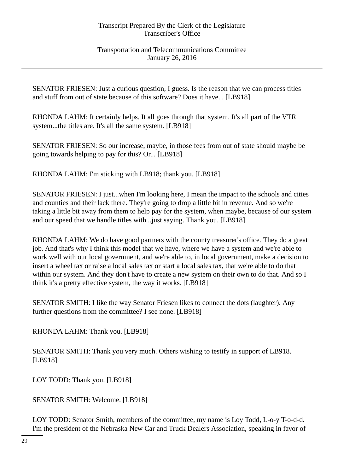Transportation and Telecommunications Committee January 26, 2016

SENATOR FRIESEN: Just a curious question, I guess. Is the reason that we can process titles and stuff from out of state because of this software? Does it have... [LB918]

RHONDA LAHM: It certainly helps. It all goes through that system. It's all part of the VTR system...the titles are. It's all the same system. [LB918]

SENATOR FRIESEN: So our increase, maybe, in those fees from out of state should maybe be going towards helping to pay for this? Or... [LB918]

RHONDA LAHM: I'm sticking with LB918; thank you. [LB918]

SENATOR FRIESEN: I just...when I'm looking here, I mean the impact to the schools and cities and counties and their lack there. They're going to drop a little bit in revenue. And so we're taking a little bit away from them to help pay for the system, when maybe, because of our system and our speed that we handle titles with...just saying. Thank you. [LB918]

RHONDA LAHM: We do have good partners with the county treasurer's office. They do a great job. And that's why I think this model that we have, where we have a system and we're able to work well with our local government, and we're able to, in local government, make a decision to insert a wheel tax or raise a local sales tax or start a local sales tax, that we're able to do that within our system. And they don't have to create a new system on their own to do that. And so I think it's a pretty effective system, the way it works. [LB918]

SENATOR SMITH: I like the way Senator Friesen likes to connect the dots (laughter). Any further questions from the committee? I see none. [LB918]

RHONDA LAHM: Thank you. [LB918]

SENATOR SMITH: Thank you very much. Others wishing to testify in support of LB918. [LB918]

LOY TODD: Thank you. [LB918]

SENATOR SMITH: Welcome. [LB918]

LOY TODD: Senator Smith, members of the committee, my name is Loy Todd, L-o-y T-o-d-d. I'm the president of the Nebraska New Car and Truck Dealers Association, speaking in favor of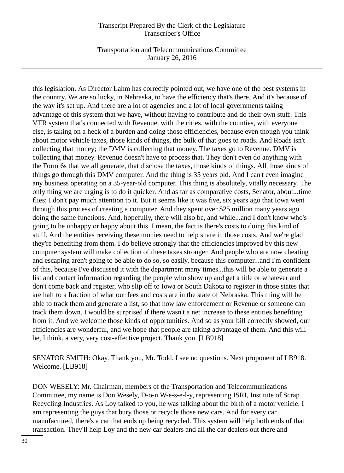Transportation and Telecommunications Committee January 26, 2016

this legislation. As Director Lahm has correctly pointed out, we have one of the best systems in the country. We are so lucky, in Nebraska, to have the efficiency that's there. And it's because of the way it's set up. And there are a lot of agencies and a lot of local governments taking advantage of this system that we have, without having to contribute and do their own stuff. This VTR system that's connected with Revenue, with the cities, with the counties, with everyone else, is taking on a heck of a burden and doing those efficiencies, because even though you think about motor vehicle taxes, those kinds of things, the bulk of that goes to roads. And Roads isn't collecting that money; the DMV is collecting that money. The taxes go to Revenue. DMV is collecting that money. Revenue doesn't have to process that. They don't even do anything with the Form 6s that we all generate, that disclose the taxes, those kinds of things. All those kinds of things go through this DMV computer. And the thing is 35 years old. And I can't even imagine any business operating on a 35-year-old computer. This thing is absolutely, vitally necessary. The only thing we are urging is to do it quicker. And as far as comparative costs, Senator, about...time flies; I don't pay much attention to it. But it seems like it was five, six years ago that Iowa went through this process of creating a computer. And they spent over \$25 million many years ago doing the same functions. And, hopefully, there will also be, and while...and I don't know who's going to be unhappy or happy about this. I mean, the fact is there's costs to doing this kind of stuff. And the entities receiving these monies need to help share in those costs. And we're glad they're benefiting from them. I do believe strongly that the efficiencies improved by this new computer system will make collection of these taxes stronger. And people who are now cheating and escaping aren't going to be able to do so, so easily, because this computer...and I'm confident of this, because I've discussed it with the department many times...this will be able to generate a list and contact information regarding the people who show up and get a title or whatever and don't come back and register, who slip off to Iowa or South Dakota to register in those states that are half to a fraction of what our fees and costs are in the state of Nebraska. This thing will be able to track them and generate a list, so that now law enforcement or Revenue or someone can track them down. I would be surprised if there wasn't a net increase to these entities benefiting from it. And we welcome those kinds of opportunities. And so as your bill correctly showed, our efficiencies are wonderful, and we hope that people are taking advantage of them. And this will be, I think, a very, very cost-effective project. Thank you. [LB918]

SENATOR SMITH: Okay. Thank you, Mr. Todd. I see no questions. Next proponent of LB918. Welcome. [LB918]

DON WESELY: Mr. Chairman, members of the Transportation and Telecommunications Committee, my name is Don Wesely, D-o-n W-e-s-e-l-y, representing ISRI, Institute of Scrap Recycling Industries. As Loy talked to you, he was talking about the birth of a motor vehicle. I am representing the guys that bury those or recycle those new cars. And for every car manufactured, there's a car that ends up being recycled. This system will help both ends of that transaction. They'll help Loy and the new car dealers and all the car dealers out there and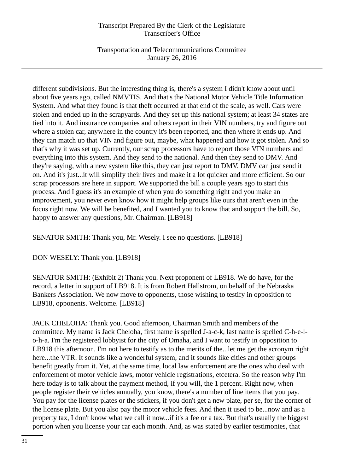Transportation and Telecommunications Committee January 26, 2016

different subdivisions. But the interesting thing is, there's a system I didn't know about until about five years ago, called NMVTIS. And that's the National Motor Vehicle Title Information System. And what they found is that theft occurred at that end of the scale, as well. Cars were stolen and ended up in the scrapyards. And they set up this national system; at least 34 states are tied into it. And insurance companies and others report in their VIN numbers, try and figure out where a stolen car, anywhere in the country it's been reported, and then where it ends up. And they can match up that VIN and figure out, maybe, what happened and how it got stolen. And so that's why it was set up. Currently, our scrap processors have to report those VIN numbers and everything into this system. And they send to the national. And then they send to DMV. And they're saying, with a new system like this, they can just report to DMV. DMV can just send it on. And it's just...it will simplify their lives and make it a lot quicker and more efficient. So our scrap processors are here in support. We supported the bill a couple years ago to start this process. And I guess it's an example of when you do something right and you make an improvement, you never even know how it might help groups like ours that aren't even in the focus right now. We will be benefited, and I wanted you to know that and support the bill. So, happy to answer any questions, Mr. Chairman. [LB918]

SENATOR SMITH: Thank you, Mr. Wesely. I see no questions. [LB918]

DON WESELY: Thank you. [LB918]

SENATOR SMITH: (Exhibit 2) Thank you. Next proponent of LB918. We do have, for the record, a letter in support of LB918. It is from Robert Hallstrom, on behalf of the Nebraska Bankers Association. We now move to opponents, those wishing to testify in opposition to LB918, opponents. Welcome. [LB918]

JACK CHELOHA: Thank you. Good afternoon, Chairman Smith and members of the committee. My name is Jack Cheloha, first name is spelled J-a-c-k, last name is spelled C-h-e-lo-h-a. I'm the registered lobbyist for the city of Omaha, and I want to testify in opposition to LB918 this afternoon. I'm not here to testify as to the merits of the...let me get the acronym right here...the VTR. It sounds like a wonderful system, and it sounds like cities and other groups benefit greatly from it. Yet, at the same time, local law enforcement are the ones who deal with enforcement of motor vehicle laws, motor vehicle registrations, etcetera. So the reason why I'm here today is to talk about the payment method, if you will, the 1 percent. Right now, when people register their vehicles annually, you know, there's a number of line items that you pay. You pay for the license plates or the stickers, if you don't get a new plate, per se, for the corner of the license plate. But you also pay the motor vehicle fees. And then it used to be...now and as a property tax, I don't know what we call it now...if it's a fee or a tax. But that's usually the biggest portion when you license your car each month. And, as was stated by earlier testimonies, that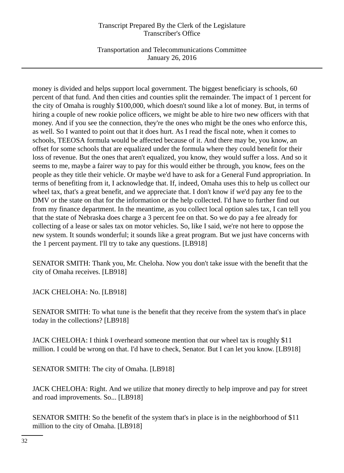Transportation and Telecommunications Committee January 26, 2016

money is divided and helps support local government. The biggest beneficiary is schools, 60 percent of that fund. And then cities and counties split the remainder. The impact of 1 percent for the city of Omaha is roughly \$100,000, which doesn't sound like a lot of money. But, in terms of hiring a couple of new rookie police officers, we might be able to hire two new officers with that money. And if you see the connection, they're the ones who might be the ones who enforce this, as well. So I wanted to point out that it does hurt. As I read the fiscal note, when it comes to schools, TEEOSA formula would be affected because of it. And there may be, you know, an offset for some schools that are equalized under the formula where they could benefit for their loss of revenue. But the ones that aren't equalized, you know, they would suffer a loss. And so it seems to me, maybe a fairer way to pay for this would either be through, you know, fees on the people as they title their vehicle. Or maybe we'd have to ask for a General Fund appropriation. In terms of benefiting from it, I acknowledge that. If, indeed, Omaha uses this to help us collect our wheel tax, that's a great benefit, and we appreciate that. I don't know if we'd pay any fee to the DMV or the state on that for the information or the help collected. I'd have to further find out from my finance department. In the meantime, as you collect local option sales tax, I can tell you that the state of Nebraska does charge a 3 percent fee on that. So we do pay a fee already for collecting of a lease or sales tax on motor vehicles. So, like I said, we're not here to oppose the new system. It sounds wonderful; it sounds like a great program. But we just have concerns with the 1 percent payment. I'll try to take any questions. [LB918]

SENATOR SMITH: Thank you, Mr. Cheloha. Now you don't take issue with the benefit that the city of Omaha receives. [LB918]

JACK CHELOHA: No. [LB918]

SENATOR SMITH: To what tune is the benefit that they receive from the system that's in place today in the collections? [LB918]

JACK CHELOHA: I think I overheard someone mention that our wheel tax is roughly \$11 million. I could be wrong on that. I'd have to check, Senator. But I can let you know. [LB918]

SENATOR SMITH: The city of Omaha. [LB918]

JACK CHELOHA: Right. And we utilize that money directly to help improve and pay for street and road improvements. So... [LB918]

SENATOR SMITH: So the benefit of the system that's in place is in the neighborhood of \$11 million to the city of Omaha. [LB918]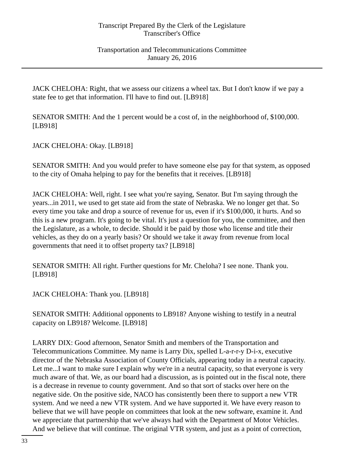Transportation and Telecommunications Committee January 26, 2016

JACK CHELOHA: Right, that we assess our citizens a wheel tax. But I don't know if we pay a state fee to get that information. I'll have to find out. [LB918]

SENATOR SMITH: And the 1 percent would be a cost of, in the neighborhood of, \$100,000. [LB918]

JACK CHELOHA: Okay. [LB918]

SENATOR SMITH: And you would prefer to have someone else pay for that system, as opposed to the city of Omaha helping to pay for the benefits that it receives. [LB918]

JACK CHELOHA: Well, right. I see what you're saying, Senator. But I'm saying through the years...in 2011, we used to get state aid from the state of Nebraska. We no longer get that. So every time you take and drop a source of revenue for us, even if it's \$100,000, it hurts. And so this is a new program. It's going to be vital. It's just a question for you, the committee, and then the Legislature, as a whole, to decide. Should it be paid by those who license and title their vehicles, as they do on a yearly basis? Or should we take it away from revenue from local governments that need it to offset property tax? [LB918]

SENATOR SMITH: All right. Further questions for Mr. Cheloha? I see none. Thank you. [LB918]

JACK CHELOHA: Thank you. [LB918]

SENATOR SMITH: Additional opponents to LB918? Anyone wishing to testify in a neutral capacity on LB918? Welcome. [LB918]

LARRY DIX: Good afternoon, Senator Smith and members of the Transportation and Telecommunications Committee. My name is Larry Dix, spelled L-a-r-r-y D-i-x, executive director of the Nebraska Association of County Officials, appearing today in a neutral capacity. Let me...I want to make sure I explain why we're in a neutral capacity, so that everyone is very much aware of that. We, as our board had a discussion, as is pointed out in the fiscal note, there is a decrease in revenue to county government. And so that sort of stacks over here on the negative side. On the positive side, NACO has consistently been there to support a new VTR system. And we need a new VTR system. And we have supported it. We have every reason to believe that we will have people on committees that look at the new software, examine it. And we appreciate that partnership that we've always had with the Department of Motor Vehicles. And we believe that will continue. The original VTR system, and just as a point of correction,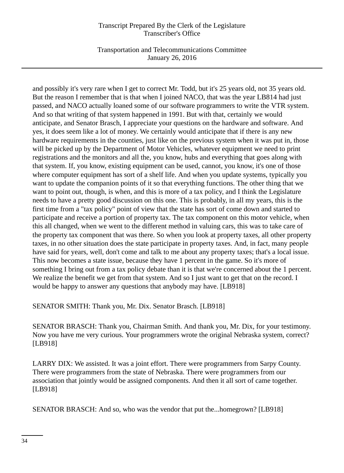Transportation and Telecommunications Committee January 26, 2016

and possibly it's very rare when I get to correct Mr. Todd, but it's 25 years old, not 35 years old. But the reason I remember that is that when I joined NACO, that was the year LB814 had just passed, and NACO actually loaned some of our software programmers to write the VTR system. And so that writing of that system happened in 1991. But with that, certainly we would anticipate, and Senator Brasch, I appreciate your questions on the hardware and software. And yes, it does seem like a lot of money. We certainly would anticipate that if there is any new hardware requirements in the counties, just like on the previous system when it was put in, those will be picked up by the Department of Motor Vehicles, whatever equipment we need to print registrations and the monitors and all the, you know, hubs and everything that goes along with that system. If, you know, existing equipment can be used, cannot, you know, it's one of those where computer equipment has sort of a shelf life. And when you update systems, typically you want to update the companion points of it so that everything functions. The other thing that we want to point out, though, is when, and this is more of a tax policy, and I think the Legislature needs to have a pretty good discussion on this one. This is probably, in all my years, this is the first time from a "tax policy" point of view that the state has sort of come down and started to participate and receive a portion of property tax. The tax component on this motor vehicle, when this all changed, when we went to the different method in valuing cars, this was to take care of the property tax component that was there. So when you look at property taxes, all other property taxes, in no other situation does the state participate in property taxes. And, in fact, many people have said for years, well, don't come and talk to me about any property taxes; that's a local issue. This now becomes a state issue, because they have 1 percent in the game. So it's more of something I bring out from a tax policy debate than it is that we're concerned about the 1 percent. We realize the benefit we get from that system. And so I just want to get that on the record. I would be happy to answer any questions that anybody may have. [LB918]

SENATOR SMITH: Thank you, Mr. Dix. Senator Brasch. [LB918]

SENATOR BRASCH: Thank you, Chairman Smith. And thank you, Mr. Dix, for your testimony. Now you have me very curious. Your programmers wrote the original Nebraska system, correct? [LB918]

LARRY DIX: We assisted. It was a joint effort. There were programmers from Sarpy County. There were programmers from the state of Nebraska. There were programmers from our association that jointly would be assigned components. And then it all sort of came together. [LB918]

SENATOR BRASCH: And so, who was the vendor that put the...homegrown? [LB918]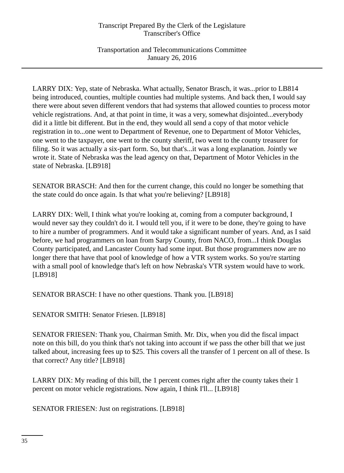Transportation and Telecommunications Committee January 26, 2016

LARRY DIX: Yep, state of Nebraska. What actually, Senator Brasch, it was...prior to LB814 being introduced, counties, multiple counties had multiple systems. And back then, I would say there were about seven different vendors that had systems that allowed counties to process motor vehicle registrations. And, at that point in time, it was a very, somewhat disjointed...everybody did it a little bit different. But in the end, they would all send a copy of that motor vehicle registration in to...one went to Department of Revenue, one to Department of Motor Vehicles, one went to the taxpayer, one went to the county sheriff, two went to the county treasurer for filing. So it was actually a six-part form. So, but that's...it was a long explanation. Jointly we wrote it. State of Nebraska was the lead agency on that, Department of Motor Vehicles in the state of Nebraska. [LB918]

SENATOR BRASCH: And then for the current change, this could no longer be something that the state could do once again. Is that what you're believing? [LB918]

LARRY DIX: Well, I think what you're looking at, coming from a computer background, I would never say they couldn't do it. I would tell you, if it were to be done, they're going to have to hire a number of programmers. And it would take a significant number of years. And, as I said before, we had programmers on loan from Sarpy County, from NACO, from...I think Douglas County participated, and Lancaster County had some input. But those programmers now are no longer there that have that pool of knowledge of how a VTR system works. So you're starting with a small pool of knowledge that's left on how Nebraska's VTR system would have to work. [LB918]

SENATOR BRASCH: I have no other questions. Thank you. [LB918]

SENATOR SMITH: Senator Friesen. [LB918]

SENATOR FRIESEN: Thank you, Chairman Smith. Mr. Dix, when you did the fiscal impact note on this bill, do you think that's not taking into account if we pass the other bill that we just talked about, increasing fees up to \$25. This covers all the transfer of 1 percent on all of these. Is that correct? Any title? [LB918]

LARRY DIX: My reading of this bill, the 1 percent comes right after the county takes their 1 percent on motor vehicle registrations. Now again, I think I'll... [LB918]

SENATOR FRIESEN: Just on registrations. [LB918]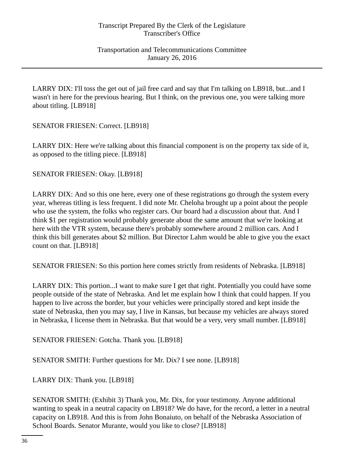LARRY DIX: I'll toss the get out of jail free card and say that I'm talking on LB918, but...and I wasn't in here for the previous hearing. But I think, on the previous one, you were talking more about titling. [LB918]

SENATOR FRIESEN: Correct. [LB918]

LARRY DIX: Here we're talking about this financial component is on the property tax side of it, as opposed to the titling piece. [LB918]

SENATOR FRIESEN: Okay. [LB918]

LARRY DIX: And so this one here, every one of these registrations go through the system every year, whereas titling is less frequent. I did note Mr. Cheloha brought up a point about the people who use the system, the folks who register cars. Our board had a discussion about that. And I think \$1 per registration would probably generate about the same amount that we're looking at here with the VTR system, because there's probably somewhere around 2 million cars. And I think this bill generates about \$2 million. But Director Lahm would be able to give you the exact count on that. [LB918]

SENATOR FRIESEN: So this portion here comes strictly from residents of Nebraska. [LB918]

LARRY DIX: This portion...I want to make sure I get that right. Potentially you could have some people outside of the state of Nebraska. And let me explain how I think that could happen. If you happen to live across the border, but your vehicles were principally stored and kept inside the state of Nebraska, then you may say, I live in Kansas, but because my vehicles are always stored in Nebraska, I license them in Nebraska. But that would be a very, very small number. [LB918]

SENATOR FRIESEN: Gotcha. Thank you. [LB918]

SENATOR SMITH: Further questions for Mr. Dix? I see none. [LB918]

LARRY DIX: Thank you. [LB918]

SENATOR SMITH: (Exhibit 3) Thank you, Mr. Dix, for your testimony. Anyone additional wanting to speak in a neutral capacity on LB918? We do have, for the record, a letter in a neutral capacity on LB918. And this is from John Bonaiuto, on behalf of the Nebraska Association of School Boards. Senator Murante, would you like to close? [LB918]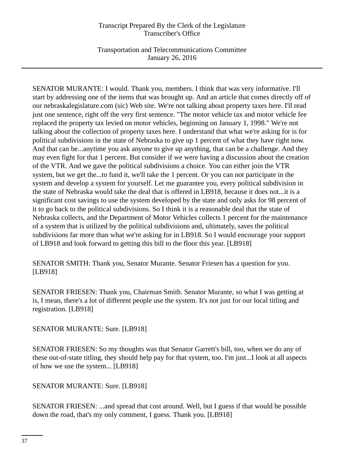Transportation and Telecommunications Committee January 26, 2016

SENATOR MURANTE: I would. Thank you, members. I think that was very informative. I'll start by addressing one of the items that was brought up. And an article that comes directly off of our nebraskalegislature.com (sic) Web site. We're not talking about property taxes here. I'll read just one sentence, right off the very first sentence. "The motor vehicle tax and motor vehicle fee replaced the property tax levied on motor vehicles, beginning on January 1, 1998." We're not talking about the collection of property taxes here. I understand that what we're asking for is for political subdivisions in the state of Nebraska to give up 1 percent of what they have right now. And that can be...anytime you ask anyone to give up anything, that can be a challenge. And they may even fight for that 1 percent. But consider if we were having a discussion about the creation of the VTR. And we gave the political subdivisions a choice. You can either join the VTR system, but we get the...to fund it, we'll take the 1 percent. Or you can not participate in the system and develop a system for yourself. Let me guarantee you, every political subdivision in the state of Nebraska would take the deal that is offered in LB918, because it does not...it is a significant cost savings to use the system developed by the state and only asks for 98 percent of it to go back to the political subdivisions. So I think it is a reasonable deal that the state of Nebraska collects, and the Department of Motor Vehicles collects 1 percent for the maintenance of a system that is utilized by the political subdivisions and, ultimately, saves the political subdivisions far more than what we're asking for in LB918. So I would encourage your support of LB918 and look forward to getting this bill to the floor this year. [LB918]

SENATOR SMITH: Thank you, Senator Murante. Senator Friesen has a question for you. [LB918]

SENATOR FRIESEN: Thank you, Chairman Smith. Senator Murante, so what I was getting at is, I mean, there's a lot of different people use the system. It's not just for our local titling and registration. [LB918]

SENATOR MURANTE: Sure. [LB918]

SENATOR FRIESEN: So my thoughts was that Senator Garrett's bill, too, when we do any of these out-of-state titling, they should help pay for that system, too. I'm just...I look at all aspects of how we use the system... [LB918]

SENATOR MURANTE: Sure. [LB918]

SENATOR FRIESEN: ...and spread that cost around. Well, but I guess if that would be possible down the road, that's my only comment, I guess. Thank you. [LB918]